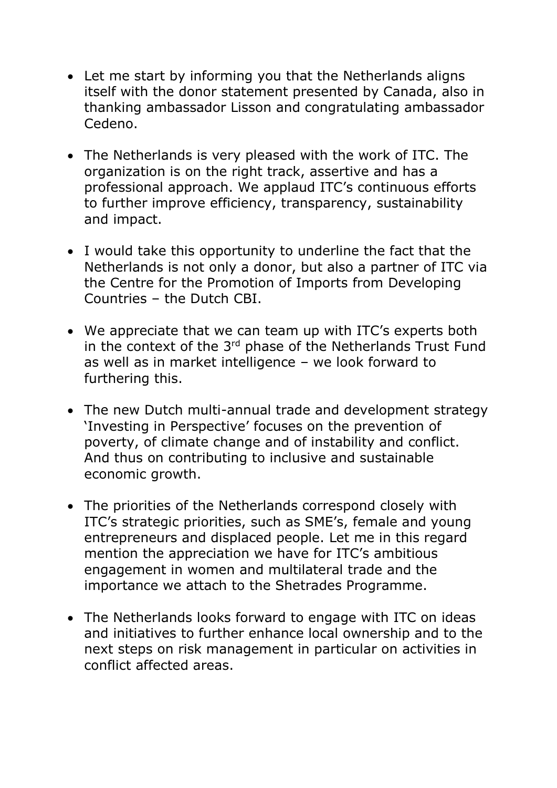- Let me start by informing you that the Netherlands aligns itself with the donor statement presented by Canada, also in thanking ambassador Lisson and congratulating ambassador Cedeno.
- The Netherlands is very pleased with the work of ITC. The organization is on the right track, assertive and has a professional approach. We applaud ITC's continuous efforts to further improve efficiency, transparency, sustainability and impact.
- I would take this opportunity to underline the fact that the Netherlands is not only a donor, but also a partner of ITC via the Centre for the Promotion of Imports from Developing Countries – the Dutch CBI.
- We appreciate that we can team up with ITC's experts both in the context of the 3<sup>rd</sup> phase of the Netherlands Trust Fund as well as in market intelligence – we look forward to furthering this.
- The new Dutch multi-annual trade and development strategy 'Investing in Perspective' focuses on the prevention of poverty, of climate change and of instability and conflict. And thus on contributing to inclusive and sustainable economic growth.
- The priorities of the Netherlands correspond closely with ITC's strategic priorities, such as SME's, female and young entrepreneurs and displaced people. Let me in this regard mention the appreciation we have for ITC's ambitious engagement in women and multilateral trade and the importance we attach to the Shetrades Programme.
- The Netherlands looks forward to engage with ITC on ideas and initiatives to further enhance local ownership and to the next steps on risk management in particular on activities in conflict affected areas.